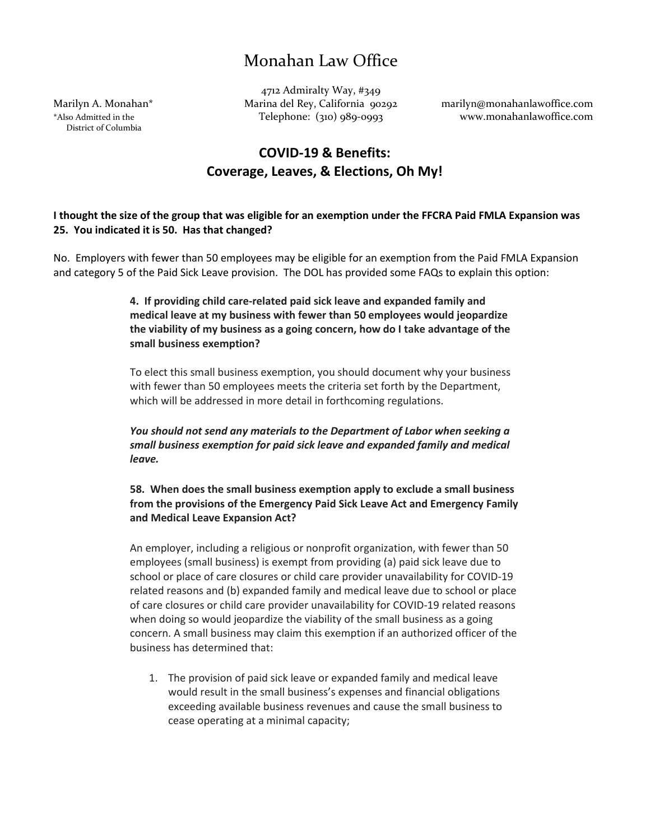District of Columbia

4712 Admiralty Way, #349 Marilyn A. Monahan\* Marina del Rey, California 90292 marilyn@monahanlawoffice.com \*Also Admitted in the Telephone: (310) 989-0993 www.monahanlawoffice.com

## **COVID-19 & Benefits: Coverage, Leaves, & Elections, Oh My!**

### **I thought the size of the group that was eligible for an exemption under the FFCRA Paid FMLA Expansion was 25. You indicated it is 50. Has that changed?**

No. Employers with fewer than 50 employees may be eligible for an exemption from the Paid FMLA Expansion and category 5 of the Paid Sick Leave provision. The DOL has provided some FAQs to explain this option:

> **4. If providing child care-related paid sick leave and expanded family and medical leave at my business with fewer than 50 employees would jeopardize the viability of my business as a going concern, how do I take advantage of the small business exemption?**

> To elect this small business exemption, you should document why your business with fewer than 50 employees meets the criteria set forth by the Department, which will be addressed in more detail in forthcoming regulations.

> *You should not send any materials to the Department of Labor when seeking a small business exemption for paid sick leave and expanded family and medical leave.*

**58. When does the small business exemption apply to exclude a small business from the provisions of the Emergency Paid Sick Leave Act and Emergency Family and Medical Leave Expansion Act?**

An employer, including a religious or nonprofit organization, with fewer than 50 employees (small business) is exempt from providing (a) paid sick leave due to school or place of care closures or child care provider unavailability for COVID-19 related reasons and (b) expanded family and medical leave due to school or place of care closures or child care provider unavailability for COVID-19 related reasons when doing so would jeopardize the viability of the small business as a going concern. A small business may claim this exemption if an authorized officer of the business has determined that:

1. The provision of paid sick leave or expanded family and medical leave would result in the small business's expenses and financial obligations exceeding available business revenues and cause the small business to cease operating at a minimal capacity;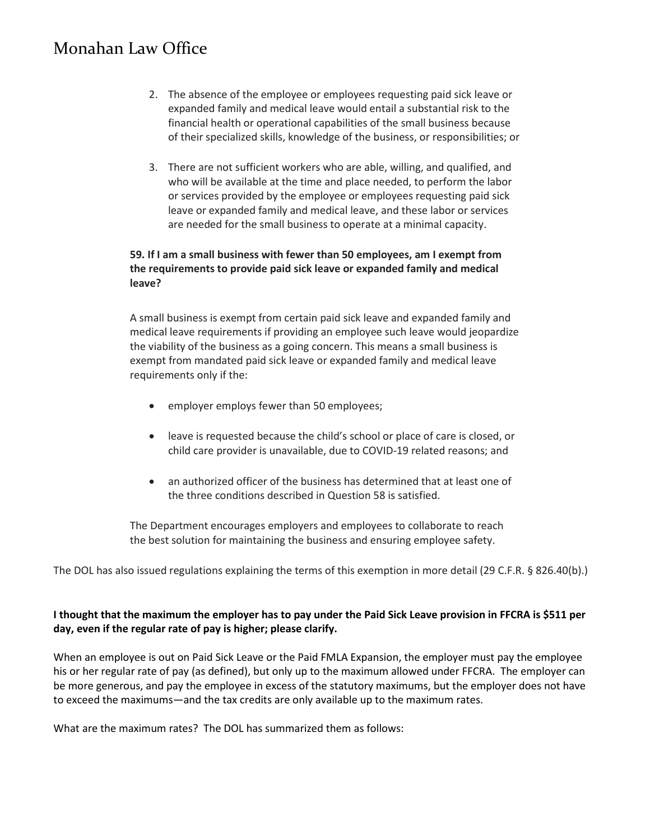- 2. The absence of the employee or employees requesting paid sick leave or expanded family and medical leave would entail a substantial risk to the financial health or operational capabilities of the small business because of their specialized skills, knowledge of the business, or responsibilities; or
- 3. There are not sufficient workers who are able, willing, and qualified, and who will be available at the time and place needed, to perform the labor or services provided by the employee or employees requesting paid sick leave or expanded family and medical leave, and these labor or services are needed for the small business to operate at a minimal capacity.

### **59. If I am a small business with fewer than 50 employees, am I exempt from the requirements to provide paid sick leave or expanded family and medical leave?**

A small business is exempt from certain paid sick leave and expanded family and medical leave requirements if providing an employee such leave would jeopardize the viability of the business as a going concern. This means a small business is exempt from mandated paid sick leave or expanded family and medical leave requirements only if the:

- employer employs fewer than 50 employees;
- leave is requested because the child's school or place of care is closed, or child care provider is unavailable, due to COVID-19 related reasons; and
- an authorized officer of the business has determined that at least one of the three conditions described in Question 58 is satisfied.

The Department encourages employers and employees to collaborate to reach the best solution for maintaining the business and ensuring employee safety.

The DOL has also issued regulations explaining the terms of this exemption in more detail (29 C.F.R. § 826.40(b).)

### **I thought that the maximum the employer has to pay under the Paid Sick Leave provision in FFCRA is \$511 per day, even if the regular rate of pay is higher; please clarify.**

When an employee is out on Paid Sick Leave or the Paid FMLA Expansion, the employer must pay the employee his or her regular rate of pay (as defined), but only up to the maximum allowed under FFCRA. The employer can be more generous, and pay the employee in excess of the statutory maximums, but the employer does not have to exceed the maximums—and the tax credits are only available up to the maximum rates.

What are the maximum rates? The DOL has summarized them as follows: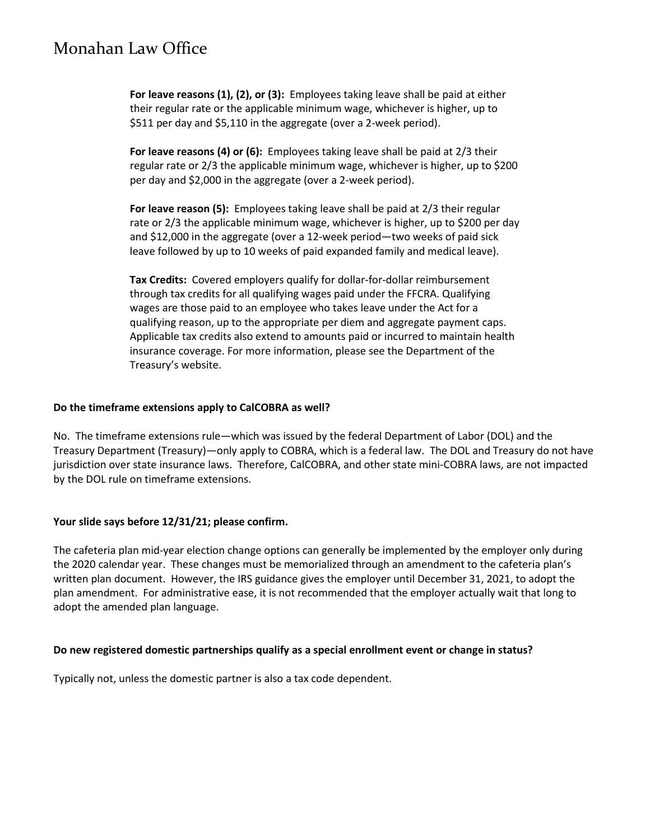**For leave reasons (1), (2), or (3):** Employees taking leave shall be paid at either their regular rate or the applicable minimum wage, whichever is higher, up to \$511 per day and \$5,110 in the aggregate (over a 2-week period).

**For leave reasons (4) or (6):** Employees taking leave shall be paid at 2/3 their regular rate or 2/3 the applicable minimum wage, whichever is higher, up to \$200 per day and \$2,000 in the aggregate (over a 2-week period).

**For leave reason (5):** Employees taking leave shall be paid at 2/3 their regular rate or 2/3 the applicable minimum wage, whichever is higher, up to \$200 per day and \$12,000 in the aggregate (over a 12-week period—two weeks of paid sick leave followed by up to 10 weeks of paid expanded family and medical leave).

**Tax Credits:** Covered employers qualify for dollar-for-dollar reimbursement through tax credits for all qualifying wages paid under the FFCRA. Qualifying wages are those paid to an employee who takes leave under the Act for a qualifying reason, up to the appropriate per diem and aggregate payment caps. Applicable tax credits also extend to amounts paid or incurred to maintain health insurance coverage. For more information, please see the Department of the Treasury's website.

#### **Do the timeframe extensions apply to CalCOBRA as well?**

No. The timeframe extensions rule—which was issued by the federal Department of Labor (DOL) and the Treasury Department (Treasury)—only apply to COBRA, which is a federal law. The DOL and Treasury do not have jurisdiction over state insurance laws. Therefore, CalCOBRA, and other state mini-COBRA laws, are not impacted by the DOL rule on timeframe extensions.

### **Your slide says before 12/31/21; please confirm.**

The cafeteria plan mid-year election change options can generally be implemented by the employer only during the 2020 calendar year. These changes must be memorialized through an amendment to the cafeteria plan's written plan document. However, the IRS guidance gives the employer until December 31, 2021, to adopt the plan amendment. For administrative ease, it is not recommended that the employer actually wait that long to adopt the amended plan language.

#### **Do new registered domestic partnerships qualify as a special enrollment event or change in status?**

Typically not, unless the domestic partner is also a tax code dependent.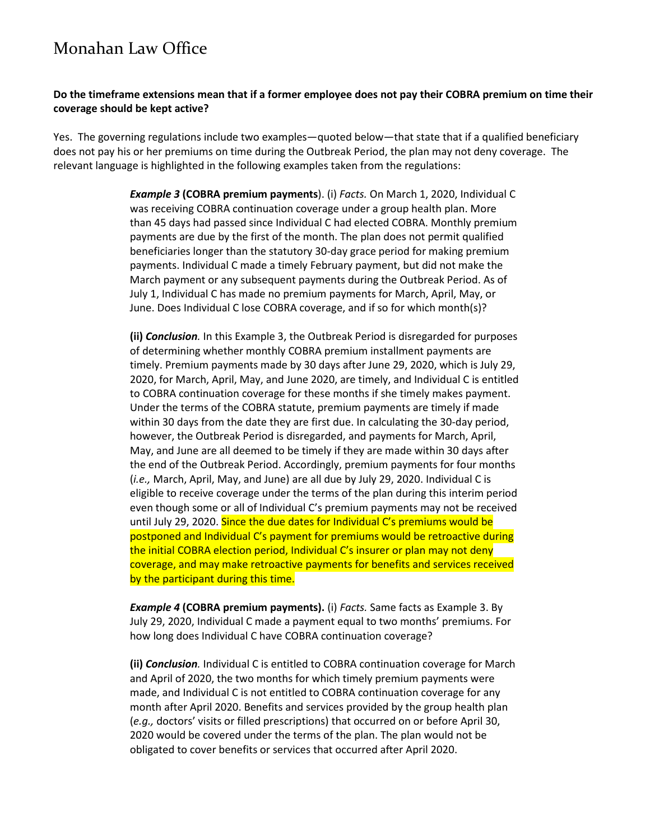#### **Do the timeframe extensions mean that if a former employee does not pay their COBRA premium on time their coverage should be kept active?**

Yes. The governing regulations include two examples—quoted below—that state that if a qualified beneficiary does not pay his or her premiums on time during the Outbreak Period, the plan may not deny coverage. The relevant language is highlighted in the following examples taken from the regulations:

> *Example 3* **(COBRA premium payments**). (i) *Facts.* On March 1, 2020, Individual C was receiving COBRA continuation coverage under a group health plan. More than 45 days had passed since Individual C had elected COBRA. Monthly premium payments are due by the first of the month. The plan does not permit qualified beneficiaries longer than the statutory 30-day grace period for making premium payments. Individual C made a timely February payment, but did not make the March payment or any subsequent payments during the Outbreak Period. As of July 1, Individual C has made no premium payments for March, April, May, or June. Does Individual C lose COBRA coverage, and if so for which month(s)?

> **(ii)** *Conclusion.* In this Example 3, the Outbreak Period is disregarded for purposes of determining whether monthly COBRA premium installment payments are timely. Premium payments made by 30 days after June 29, 2020, which is July 29, 2020, for March, April, May, and June 2020, are timely, and Individual C is entitled to COBRA continuation coverage for these months if she timely makes payment. Under the terms of the COBRA statute, premium payments are timely if made within 30 days from the date they are first due. In calculating the 30-day period, however, the Outbreak Period is disregarded, and payments for March, April, May, and June are all deemed to be timely if they are made within 30 days after the end of the Outbreak Period. Accordingly, premium payments for four months (*i.e.,* March, April, May, and June) are all due by July 29, 2020. Individual C is eligible to receive coverage under the terms of the plan during this interim period even though some or all of Individual C's premium payments may not be received until July 29, 2020. Since the due dates for Individual C's premiums would be postponed and Individual C's payment for premiums would be retroactive during the initial COBRA election period, Individual C's insurer or plan may not deny coverage, and may make retroactive payments for benefits and services received by the participant during this time.

*Example 4* **(COBRA premium payments).** (i) *Facts.* Same facts as Example 3. By July 29, 2020, Individual C made a payment equal to two months' premiums. For how long does Individual C have COBRA continuation coverage?

**(ii)** *Conclusion.* Individual C is entitled to COBRA continuation coverage for March and April of 2020, the two months for which timely premium payments were made, and Individual C is not entitled to COBRA continuation coverage for any month after April 2020. Benefits and services provided by the group health plan (*e.g.,* doctors' visits or filled prescriptions) that occurred on or before April 30, 2020 would be covered under the terms of the plan. The plan would not be obligated to cover benefits or services that occurred after April 2020.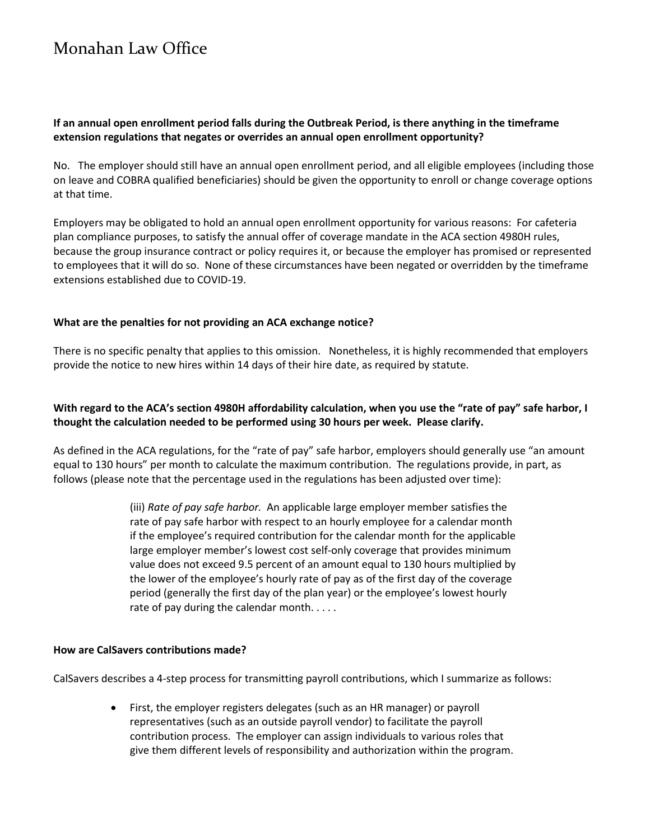### **If an annual open enrollment period falls during the Outbreak Period, is there anything in the timeframe extension regulations that negates or overrides an annual open enrollment opportunity?**

No. The employer should still have an annual open enrollment period, and all eligible employees (including those on leave and COBRA qualified beneficiaries) should be given the opportunity to enroll or change coverage options at that time.

Employers may be obligated to hold an annual open enrollment opportunity for various reasons: For cafeteria plan compliance purposes, to satisfy the annual offer of coverage mandate in the ACA section 4980H rules, because the group insurance contract or policy requires it, or because the employer has promised or represented to employees that it will do so. None of these circumstances have been negated or overridden by the timeframe extensions established due to COVID-19.

#### **What are the penalties for not providing an ACA exchange notice?**

There is no specific penalty that applies to this omission. Nonetheless, it is highly recommended that employers provide the notice to new hires within 14 days of their hire date, as required by statute.

### **With regard to the ACA's section 4980H affordability calculation, when you use the "rate of pay" safe harbor, I thought the calculation needed to be performed using 30 hours per week. Please clarify.**

As defined in the ACA regulations, for the "rate of pay" safe harbor, employers should generally use "an amount equal to 130 hours" per month to calculate the maximum contribution. The regulations provide, in part, as follows (please note that the percentage used in the regulations has been adjusted over time):

> (iii) *Rate of pay safe harbor.* An applicable large employer member satisfies the rate of pay safe harbor with respect to an hourly employee for a calendar month if the employee's required contribution for the calendar month for the applicable large employer member's lowest cost self-only coverage that provides minimum value does not exceed 9.5 percent of an amount equal to 130 hours multiplied by the lower of the employee's hourly rate of pay as of the first day of the coverage period (generally the first day of the plan year) or the employee's lowest hourly rate of pay during the calendar month. . . . .

#### **How are CalSavers contributions made?**

CalSavers describes a 4-step process for transmitting payroll contributions, which I summarize as follows:

• First, the employer registers delegates (such as an HR manager) or payroll representatives (such as an outside payroll vendor) to facilitate the payroll contribution process. The employer can assign individuals to various roles that give them different levels of responsibility and authorization within the program.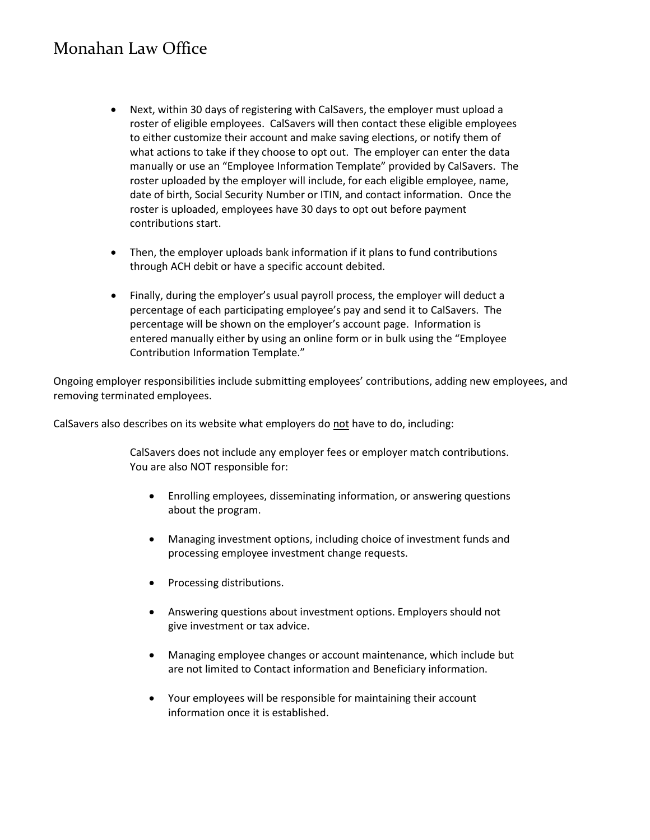- Next, within 30 days of registering with CalSavers, the employer must upload a roster of eligible employees. CalSavers will then contact these eligible employees to either customize their account and make saving elections, or notify them of what actions to take if they choose to opt out. The employer can enter the data manually or use an "Employee Information Template" provided by CalSavers. The roster uploaded by the employer will include, for each eligible employee, name, date of birth, Social Security Number or ITIN, and contact information. Once the roster is uploaded, employees have 30 days to opt out before payment contributions start.
- Then, the employer uploads bank information if it plans to fund contributions through ACH debit or have a specific account debited.
- Finally, during the employer's usual payroll process, the employer will deduct a percentage of each participating employee's pay and send it to CalSavers. The percentage will be shown on the employer's account page. Information is entered manually either by using an online form or in bulk using the "Employee Contribution Information Template."

Ongoing employer responsibilities include submitting employees' contributions, adding new employees, and removing terminated employees.

CalSavers also describes on its website what employers do not have to do, including:

CalSavers does not include any employer fees or employer match contributions. You are also NOT responsible for:

- Enrolling employees, disseminating information, or answering questions about the program.
- Managing investment options, including choice of investment funds and processing employee investment change requests.
- Processing distributions.
- Answering questions about investment options. Employers should not give investment or tax advice.
- Managing employee changes or account maintenance, which include but are not limited to Contact information and Beneficiary information.
- Your employees will be responsible for maintaining their account information once it is established.